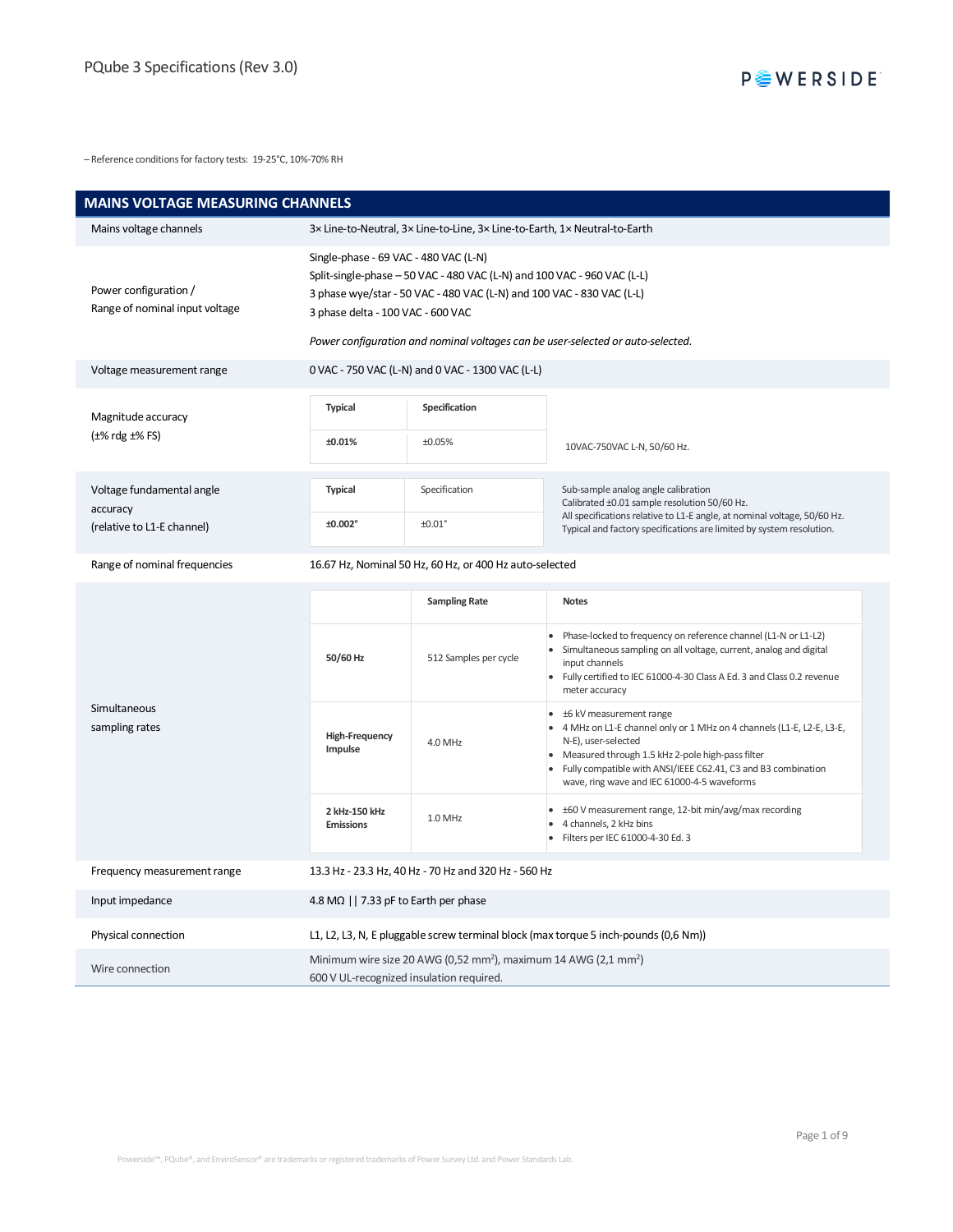– Reference conditions for factory tests: 19-25°C, 10%-70% RH

| <b>MAINS VOLTAGE MEASURING CHANNELS</b>                             |                                                                                                                                                                                                                                                                                                                   |                                                                            |                                                                                                                                                                                                                                                                                                                      |  |
|---------------------------------------------------------------------|-------------------------------------------------------------------------------------------------------------------------------------------------------------------------------------------------------------------------------------------------------------------------------------------------------------------|----------------------------------------------------------------------------|----------------------------------------------------------------------------------------------------------------------------------------------------------------------------------------------------------------------------------------------------------------------------------------------------------------------|--|
| Mains voltage channels                                              |                                                                                                                                                                                                                                                                                                                   | 3x Line-to-Neutral, 3x Line-to-Line, 3x Line-to-Earth, 1x Neutral-to-Earth |                                                                                                                                                                                                                                                                                                                      |  |
| Power configuration /<br>Range of nominal input voltage             | Single-phase - 69 VAC - 480 VAC (L-N)<br>Split-single-phase - 50 VAC - 480 VAC (L-N) and 100 VAC - 960 VAC (L-L)<br>3 phase wye/star - 50 VAC - 480 VAC (L-N) and 100 VAC - 830 VAC (L-L)<br>3 phase delta - 100 VAC - 600 VAC<br>Power configuration and nominal voltages can be user-selected or auto-selected. |                                                                            |                                                                                                                                                                                                                                                                                                                      |  |
| Voltage measurement range                                           |                                                                                                                                                                                                                                                                                                                   | 0 VAC - 750 VAC (L-N) and 0 VAC - 1300 VAC (L-L)                           |                                                                                                                                                                                                                                                                                                                      |  |
| Magnitude accuracy<br>$(\pm\% \text{ rdg} \pm\% \text{ FS})$        | <b>Typical</b><br>±0.01%                                                                                                                                                                                                                                                                                          | Specification<br>±0.05%                                                    | 10VAC-750VAC L-N, 50/60 Hz.                                                                                                                                                                                                                                                                                          |  |
| Voltage fundamental angle<br>accuracy<br>(relative to L1-E channel) | <b>Typical</b><br>±0.002°                                                                                                                                                                                                                                                                                         | Specification<br>±0.01°                                                    | Sub-sample analog angle calibration<br>Calibrated ±0.01 sample resolution 50/60 Hz.<br>All specifications relative to L1-E angle, at nominal voltage, 50/60 Hz.<br>Typical and factory specifications are limited by system resolution.                                                                              |  |
| Range of nominal frequencies                                        | 16.67 Hz, Nominal 50 Hz, 60 Hz, or 400 Hz auto-selected                                                                                                                                                                                                                                                           |                                                                            |                                                                                                                                                                                                                                                                                                                      |  |
| Simultaneous<br>sampling rates                                      | 50/60 Hz                                                                                                                                                                                                                                                                                                          | <b>Sampling Rate</b><br>512 Samples per cycle                              | <b>Notes</b><br>Phase-locked to frequency on reference channel (L1-N or L1-L2)<br>Simultaneous sampling on all voltage, current, analog and digital<br>input channels<br>Fully certified to IEC 61000-4-30 Class A Ed. 3 and Class 0.2 revenue<br>meter accuracy                                                     |  |
|                                                                     | <b>High-Frequency</b><br>Impulse                                                                                                                                                                                                                                                                                  | 4.0 MHz                                                                    | $\bullet$<br>±6 kV measurement range<br>4 MHz on L1-E channel only or 1 MHz on 4 channels (L1-E, L2-E, L3-E,<br>$\bullet$<br>N-E), user-selected<br>Measured through 1.5 kHz 2-pole high-pass filter<br>Fully compatible with ANSI/IEEE C62.41, C3 and B3 combination<br>wave, ring wave and IEC 61000-4-5 waveforms |  |
|                                                                     | 2 kHz-150 kHz<br><b>Emissions</b>                                                                                                                                                                                                                                                                                 | 1.0 MHz                                                                    | ±60 V measurement range, 12-bit min/avg/max recording<br>$\bullet$<br>4 channels, 2 kHz bins<br>٠<br>Filters per IEC 61000-4-30 Ed. 3                                                                                                                                                                                |  |
| Frequency measurement range                                         | 13.3 Hz - 23.3 Hz, 40 Hz - 70 Hz and 320 Hz - 560 Hz                                                                                                                                                                                                                                                              |                                                                            |                                                                                                                                                                                                                                                                                                                      |  |
| Input impedance                                                     | 4.8 M $\Omega$   7.33 pF to Earth per phase                                                                                                                                                                                                                                                                       |                                                                            |                                                                                                                                                                                                                                                                                                                      |  |
| Physical connection                                                 | L1, L2, L3, N, E pluggable screw terminal block (max torque 5 inch-pounds (0,6 Nm))                                                                                                                                                                                                                               |                                                                            |                                                                                                                                                                                                                                                                                                                      |  |
|                                                                     | Minimum wire size 20 AWG (0,52 mm <sup>2</sup> ), maximum 14 AWG (2,1 mm <sup>2</sup> )<br>600 V UL-recognized insulation required.                                                                                                                                                                               |                                                                            |                                                                                                                                                                                                                                                                                                                      |  |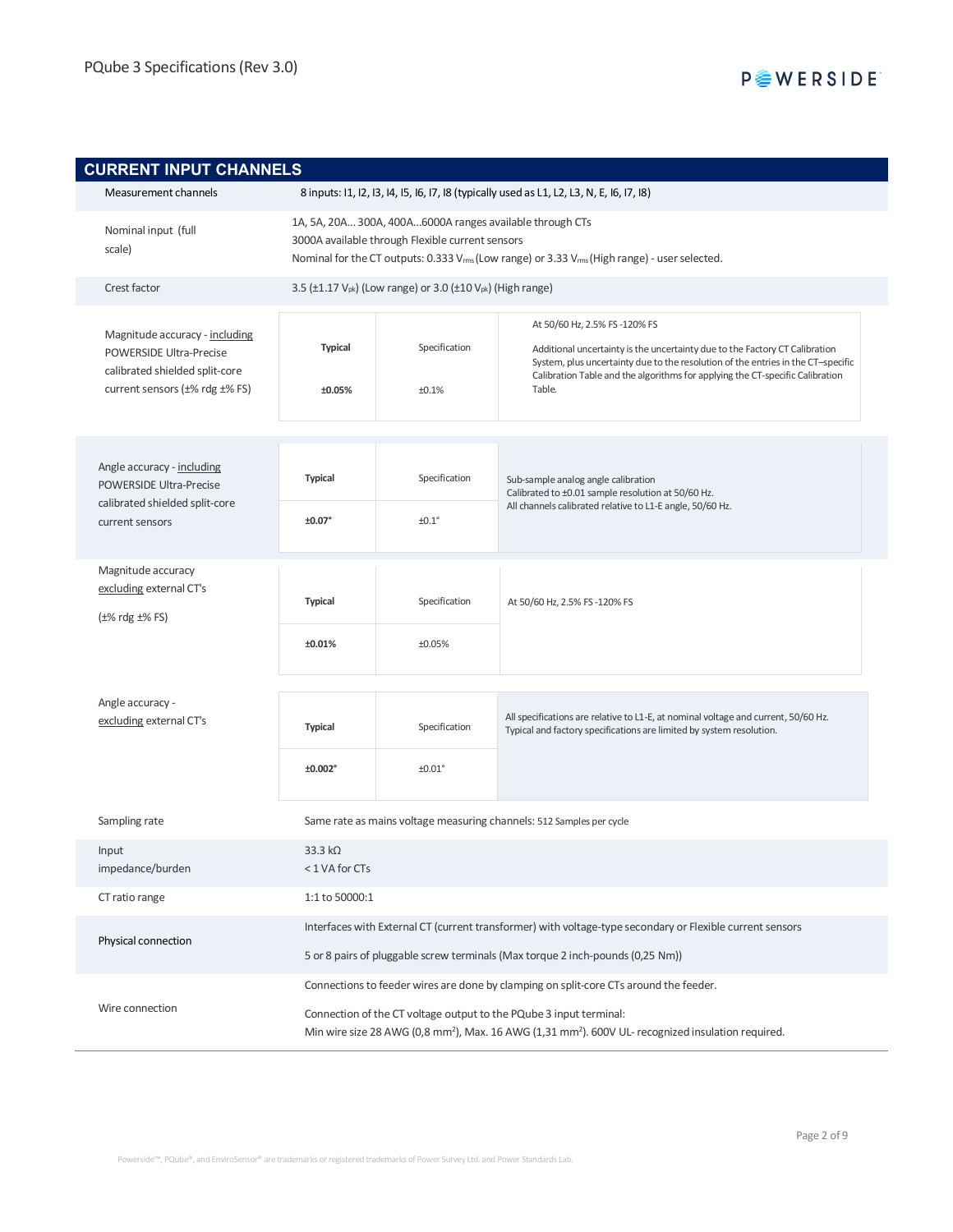| <b>CURRENT INPUT CHANNELS</b>                                                             |                                                                 |                                                                                                                                                                                                                                       |                                                                                                                                                                                                 |  |
|-------------------------------------------------------------------------------------------|-----------------------------------------------------------------|---------------------------------------------------------------------------------------------------------------------------------------------------------------------------------------------------------------------------------------|-------------------------------------------------------------------------------------------------------------------------------------------------------------------------------------------------|--|
| Measurement channels                                                                      |                                                                 | 8 inputs: 11, 12, 13, 14, 15, 16, 17, 18 (typically used as L1, L2, L3, N, E, 16, 17, 18)                                                                                                                                             |                                                                                                                                                                                                 |  |
| Nominal input (full<br>scale)                                                             |                                                                 | 1A, 5A, 20A 300A, 400A6000A ranges available through CTs<br>3000A available through Flexible current sensors<br>Nominal for the CT outputs: 0.333 V <sub>rms</sub> (Low range) or 3.33 V <sub>rms</sub> (High range) - user selected. |                                                                                                                                                                                                 |  |
| Crest factor                                                                              |                                                                 | 3.5 (±1.17 V <sub>pk</sub> ) (Low range) or 3.0 (±10 V <sub>pk</sub> ) (High range)                                                                                                                                                   |                                                                                                                                                                                                 |  |
| Magnitude accuracy - including<br>POWERSIDE Ultra-Precise                                 | <b>Typical</b>                                                  | Specification                                                                                                                                                                                                                         | At 50/60 Hz, 2.5% FS-120% FS<br>Additional uncertainty is the uncertainty due to the Factory CT Calibration<br>System, plus uncertainty due to the resolution of the entries in the CT-specific |  |
| calibrated shielded split-core<br>current sensors $(\pm\% \text{ rdg } \pm\% \text{ FS})$ | ±0.05%                                                          | ±0.1%                                                                                                                                                                                                                                 | Calibration Table and the algorithms for applying the CT-specific Calibration<br>Table.                                                                                                         |  |
|                                                                                           |                                                                 |                                                                                                                                                                                                                                       |                                                                                                                                                                                                 |  |
| Angle accuracy - including<br>POWERSIDE Ultra-Precise                                     | <b>Typical</b>                                                  | Specification                                                                                                                                                                                                                         | Sub-sample analog angle calibration<br>Calibrated to ±0.01 sample resolution at 50/60 Hz.                                                                                                       |  |
| calibrated shielded split-core<br>current sensors                                         | ±0.07°                                                          | ±0.1 <sup>°</sup>                                                                                                                                                                                                                     | All channels calibrated relative to L1-E angle, 50/60 Hz.                                                                                                                                       |  |
| Magnitude accuracy                                                                        |                                                                 |                                                                                                                                                                                                                                       |                                                                                                                                                                                                 |  |
| excluding external CT's<br>$(\pm\% \text{ rdg } \pm\% \text{ FS})$                        | <b>Typical</b><br>Specification<br>At 50/60 Hz, 2.5% FS-120% FS |                                                                                                                                                                                                                                       |                                                                                                                                                                                                 |  |
|                                                                                           | ±0.01%                                                          | ±0.05%                                                                                                                                                                                                                                |                                                                                                                                                                                                 |  |
|                                                                                           |                                                                 |                                                                                                                                                                                                                                       |                                                                                                                                                                                                 |  |
| Angle accuracy -<br>excluding external CT's                                               | <b>Typical</b>                                                  | Specification                                                                                                                                                                                                                         | All specifications are relative to L1-E, at nominal voltage and current, 50/60 Hz.<br>Typical and factory specifications are limited by system resolution.                                      |  |
|                                                                                           | ±0.002°                                                         | $±0.01$ °                                                                                                                                                                                                                             |                                                                                                                                                                                                 |  |
| Sampling rate                                                                             |                                                                 | Same rate as mains voltage measuring channels: 512 Samples per cycle                                                                                                                                                                  |                                                                                                                                                                                                 |  |
| Input<br>impedance/burden                                                                 | 33.3 $k\Omega$<br>< 1 VA for CTs                                |                                                                                                                                                                                                                                       |                                                                                                                                                                                                 |  |
| CT ratio range                                                                            | 1:1 to 50000:1                                                  |                                                                                                                                                                                                                                       |                                                                                                                                                                                                 |  |
|                                                                                           |                                                                 | Interfaces with External CT (current transformer) with voltage-type secondary or Flexible current sensors                                                                                                                             |                                                                                                                                                                                                 |  |
| Physical connection                                                                       |                                                                 | 5 or 8 pairs of pluggable screw terminals (Max torque 2 inch-pounds (0,25 Nm))                                                                                                                                                        |                                                                                                                                                                                                 |  |
|                                                                                           |                                                                 | Connections to feeder wires are done by clamping on split-core CTs around the feeder.                                                                                                                                                 |                                                                                                                                                                                                 |  |
| Wire connection                                                                           |                                                                 | Connection of the CT voltage output to the PQube 3 input terminal:<br>Min wire size 28 AWG (0,8 mm <sup>2</sup> ), Max. 16 AWG (1,31 mm <sup>2</sup> ). 600V UL- recognized insulation required.                                      |                                                                                                                                                                                                 |  |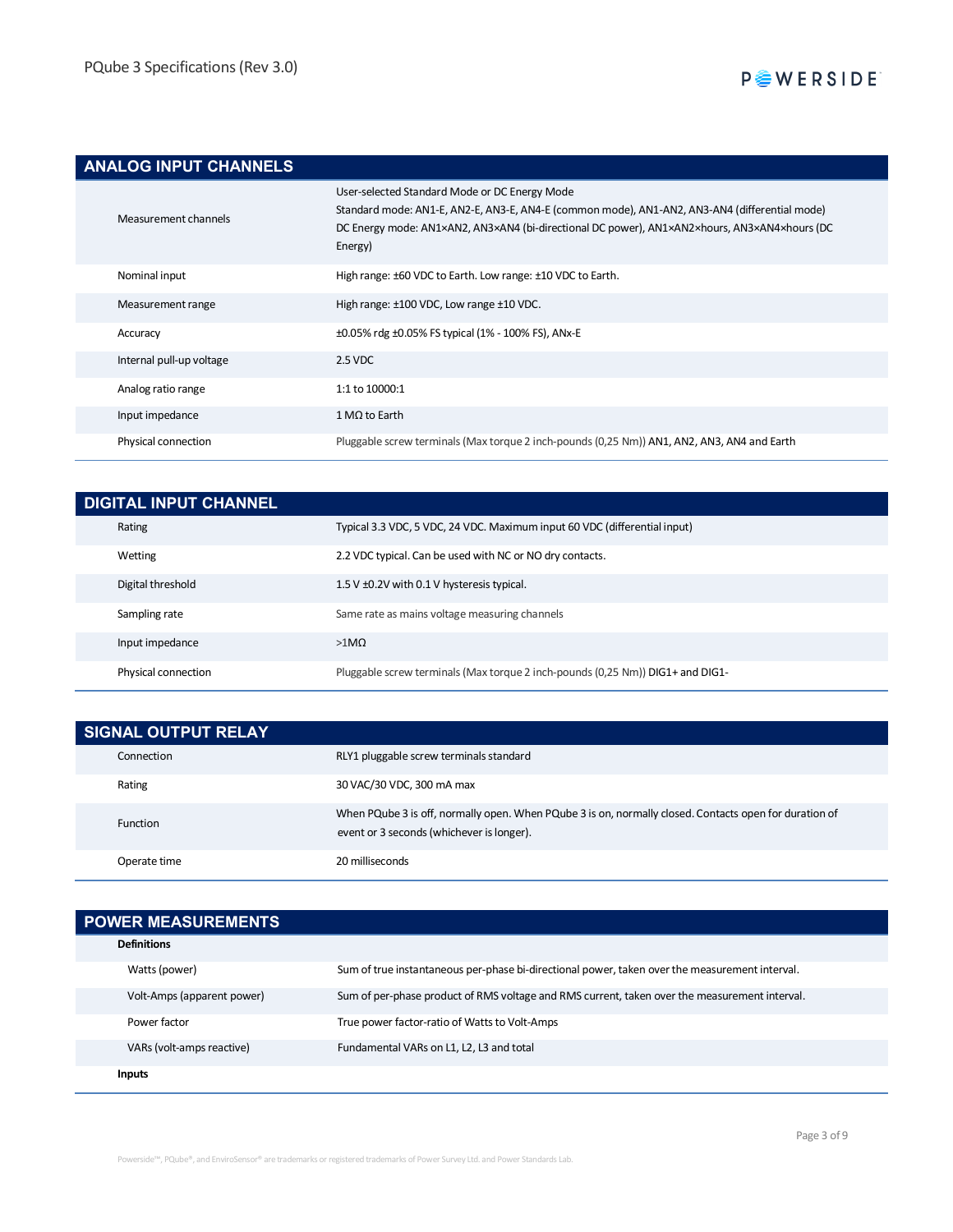## **ANALOG INPUT CHANNELS**

| Measurement channels     | User-selected Standard Mode or DC Energy Mode<br>Standard mode: AN1-E, AN2-E, AN3-E, AN4-E (common mode), AN1-AN2, AN3-AN4 (differential mode)<br>DC Energy mode: AN1×AN2, AN3×AN4 (bi-directional DC power), AN1×AN2×hours, AN3×AN4×hours (DC<br>Energy) |
|--------------------------|-----------------------------------------------------------------------------------------------------------------------------------------------------------------------------------------------------------------------------------------------------------|
| Nominal input            | High range: ±60 VDC to Earth. Low range: ±10 VDC to Earth.                                                                                                                                                                                                |
| Measurement range        | High range: ±100 VDC, Low range ±10 VDC.                                                                                                                                                                                                                  |
| Accuracy                 | ±0.05% rdg ±0.05% FS typical (1% - 100% FS), ANx-E                                                                                                                                                                                                        |
| Internal pull-up voltage | 2.5 VDC                                                                                                                                                                                                                                                   |
| Analog ratio range       | $1:1$ to $10000:1$                                                                                                                                                                                                                                        |
| Input impedance          | $1 MQ$ to Earth                                                                                                                                                                                                                                           |
| Physical connection      | Pluggable screw terminals (Max torque 2 inch-pounds (0,25 Nm)) AN1, AN2, AN3, AN4 and Earth                                                                                                                                                               |

| <b>DIGITAL INPUT CHANNEL</b> |                                                                                |
|------------------------------|--------------------------------------------------------------------------------|
| Rating                       | Typical 3.3 VDC, 5 VDC, 24 VDC. Maximum input 60 VDC (differential input)      |
| Wetting                      | 2.2 VDC typical. Can be used with NC or NO dry contacts.                       |
| Digital threshold            | 1.5 V ±0.2V with 0.1 V hysteresis typical.                                     |
| Sampling rate                | Same rate as mains voltage measuring channels                                  |
| Input impedance              | $>1$ MQ                                                                        |
| Physical connection          | Pluggable screw terminals (Max torque 2 inch-pounds (0,25 Nm)) DIG1+ and DIG1- |

| <b>SIGNAL OUTPUT RELAY</b> |                                                                                                                                                     |
|----------------------------|-----------------------------------------------------------------------------------------------------------------------------------------------------|
| Connection                 | RLY1 pluggable screw terminals standard                                                                                                             |
| Rating                     | 30 VAC/30 VDC, 300 mA max                                                                                                                           |
| <b>Function</b>            | When PQube 3 is off, normally open. When PQube 3 is on, normally closed. Contacts open for duration of<br>event or 3 seconds (whichever is longer). |
| Operate time               | 20 milliseconds                                                                                                                                     |

| <b>POWER MEASUREMENTS</b>  |                                                                                                |
|----------------------------|------------------------------------------------------------------------------------------------|
| <b>Definitions</b>         |                                                                                                |
| Watts (power)              | Sum of true instantaneous per-phase bi-directional power, taken over the measurement interval. |
| Volt-Amps (apparent power) | Sum of per-phase product of RMS voltage and RMS current, taken over the measurement interval.  |
| Power factor               | True power factor-ratio of Watts to Volt-Amps                                                  |
| VARs (volt-amps reactive)  | Fundamental VARs on L1, L2, L3 and total                                                       |
| <b>Inputs</b>              |                                                                                                |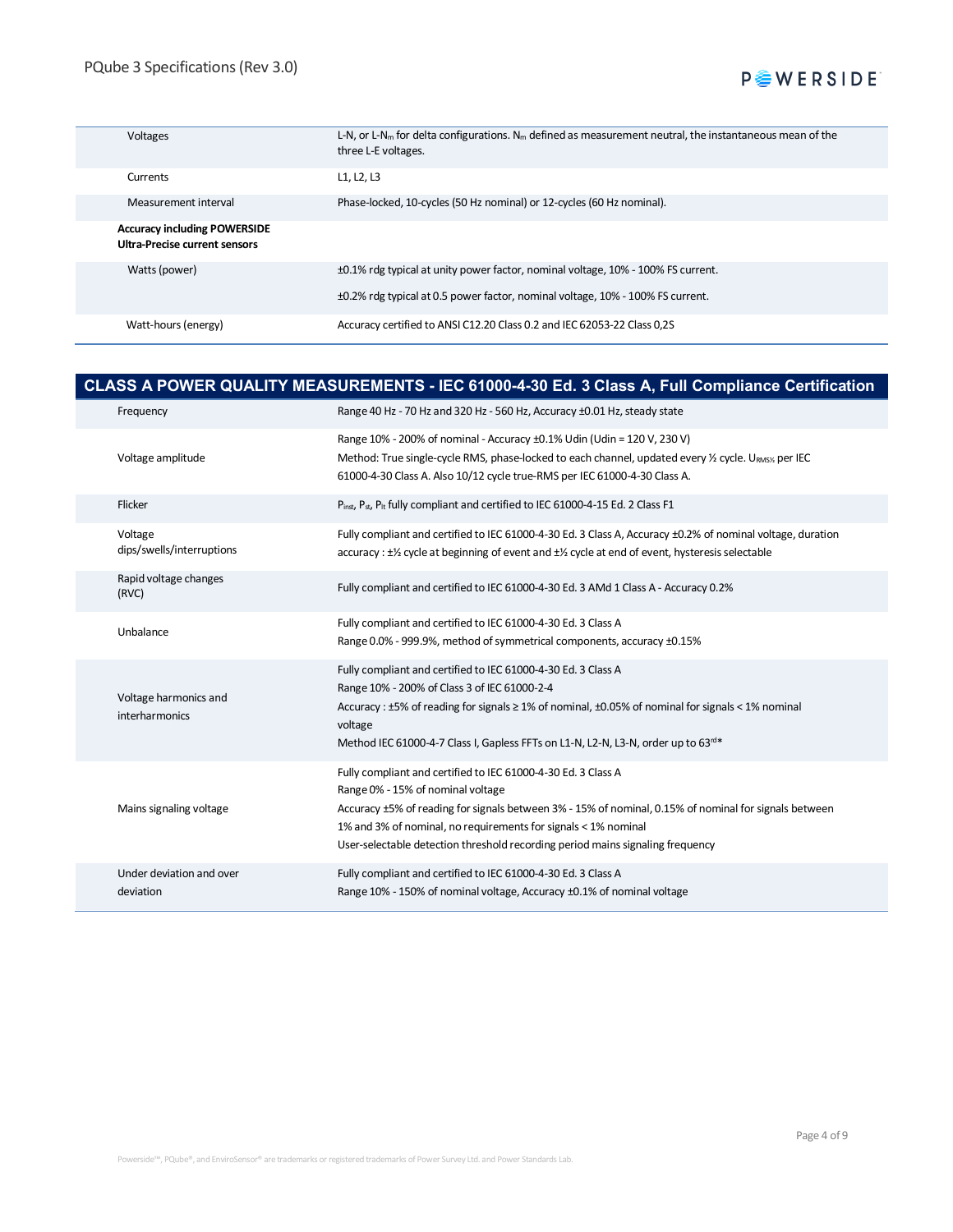| Voltages                                                             | L-N, or L-N <sub>m</sub> for delta configurations. N <sub>m</sub> defined as measurement neutral, the instantaneous mean of the<br>three L-E voltages. |
|----------------------------------------------------------------------|--------------------------------------------------------------------------------------------------------------------------------------------------------|
| Currents                                                             | L1, L2, L3                                                                                                                                             |
| Measurement interval                                                 | Phase-locked, 10-cycles (50 Hz nominal) or 12-cycles (60 Hz nominal).                                                                                  |
| <b>Accuracy including POWERSIDE</b><br>Ultra-Precise current sensors |                                                                                                                                                        |
| Watts (power)                                                        | ±0.1% rdg typical at unity power factor, nominal voltage, 10% - 100% FS current.                                                                       |
|                                                                      | ±0.2% rdg typical at 0.5 power factor, nominal voltage, 10% - 100% FS current.                                                                         |
| Watt-hours (energy)                                                  | Accuracy certified to ANSI C12.20 Class 0.2 and IEC 62053-22 Class 0.25                                                                                |

#### **CLASS A POWER QUALITY MEASUREMENTS - IEC 61000-4-30 Ed. 3 Class A, Full Compliance Certification**

| Frequency                               | Range 40 Hz - 70 Hz and 320 Hz - 560 Hz, Accuracy ±0.01 Hz, steady state                                                                                                                                                                                                                                                                                        |
|-----------------------------------------|-----------------------------------------------------------------------------------------------------------------------------------------------------------------------------------------------------------------------------------------------------------------------------------------------------------------------------------------------------------------|
| Voltage amplitude                       | Range 10% - 200% of nominal - Accuracy ±0.1% Udin (Udin = 120 V, 230 V)<br>Method: True single-cycle RMS, phase-locked to each channel, updated every 1/2 cycle. URMS1/2 per IEC<br>61000-4-30 Class A. Also 10/12 cycle true-RMS per IEC 61000-4-30 Class A.                                                                                                   |
| Flicker                                 | Pinst, Pst, P <sub>lt</sub> fully compliant and certified to IEC 61000-4-15 Ed. 2 Class F1                                                                                                                                                                                                                                                                      |
| Voltage<br>dips/swells/interruptions    | Fully compliant and certified to IEC 61000-4-30 Ed. 3 Class A, Accuracy ±0.2% of nominal voltage, duration<br>accuracy : $\pm\frac{1}{2}$ cycle at beginning of event and $\pm\frac{1}{2}$ cycle at end of event, hysteresis selectable                                                                                                                         |
| Rapid voltage changes<br>(RVC)          | Fully compliant and certified to IEC 61000-4-30 Ed. 3 AMd 1 Class A - Accuracy 0.2%                                                                                                                                                                                                                                                                             |
| Unbalance                               | Fully compliant and certified to IEC 61000-4-30 Ed. 3 Class A<br>Range 0.0% - 999.9%, method of symmetrical components, accuracy ±0.15%                                                                                                                                                                                                                         |
| Voltage harmonics and<br>interharmonics | Fully compliant and certified to IEC 61000-4-30 Ed. 3 Class A<br>Range 10% - 200% of Class 3 of IEC 61000-2-4<br>Accuracy : $\pm$ 5% of reading for signals $\geq$ 1% of nominal, $\pm$ 0.05% of nominal for signals < 1% nominal<br>voltage<br>Method IEC 61000-4-7 Class I, Gapless FFTs on L1-N, L2-N, L3-N, order up to 63rd*                               |
| Mains signaling voltage                 | Fully compliant and certified to IEC 61000-4-30 Ed. 3 Class A<br>Range 0% - 15% of nominal voltage<br>Accuracy ±5% of reading for signals between 3% - 15% of nominal, 0.15% of nominal for signals between<br>1% and 3% of nominal, no requirements for signals < 1% nominal<br>User-selectable detection threshold recording period mains signaling frequency |
| Under deviation and over<br>deviation   | Fully compliant and certified to IEC 61000-4-30 Ed. 3 Class A<br>Range 10% - 150% of nominal voltage, Accuracy ±0.1% of nominal voltage                                                                                                                                                                                                                         |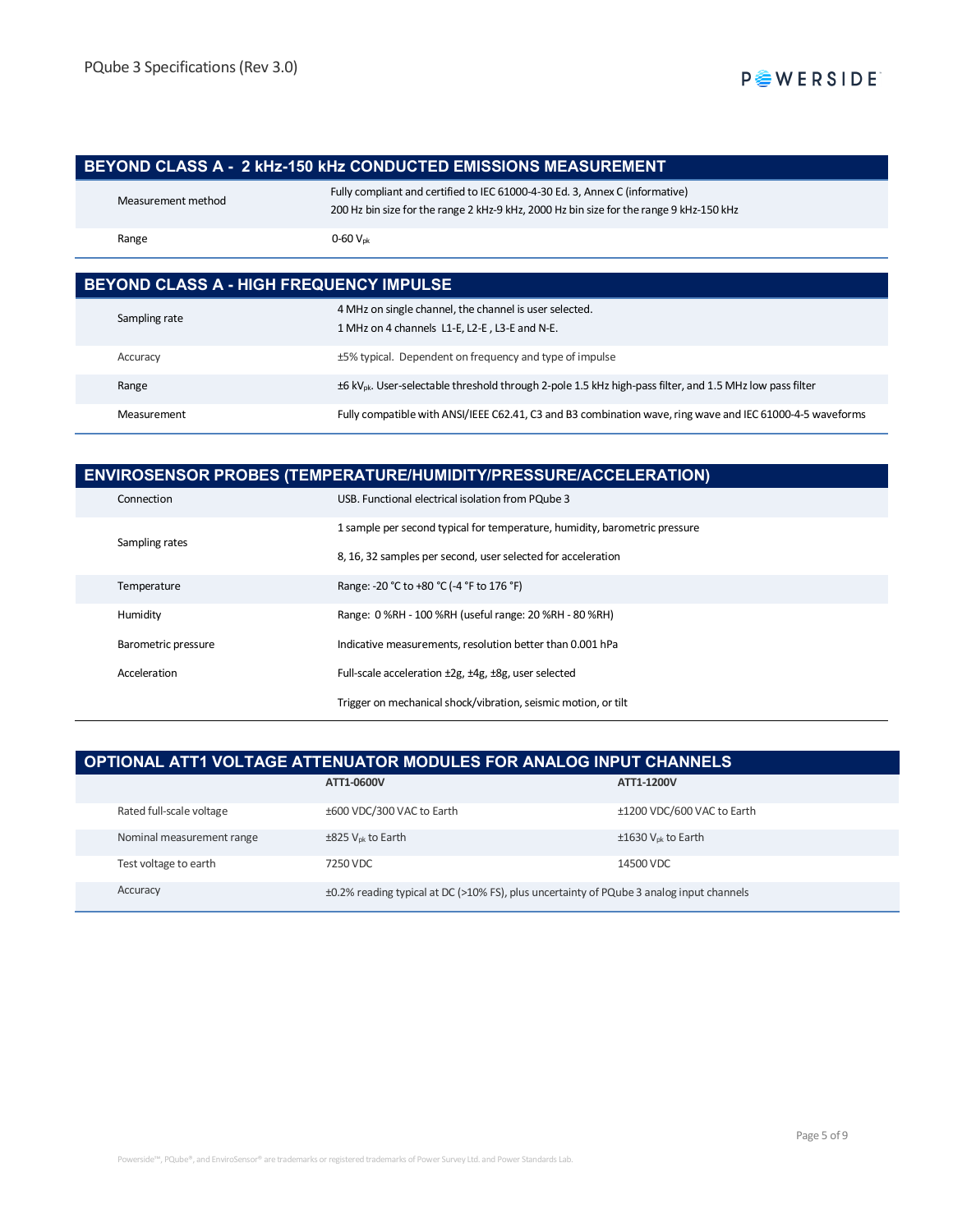#### **BEYOND CLASS A - 2 kHz-150 kHz CONDUCTED EMISSIONS MEASUREMENT**

| Measurement method | Fully compliant and certified to IEC 61000-4-30 Ed. 3, Annex C (informative)<br>200 Hz bin size for the range 2 kHz-9 kHz, 2000 Hz bin size for the range 9 kHz-150 kHz |
|--------------------|-------------------------------------------------------------------------------------------------------------------------------------------------------------------------|
| Range              | $0 - 60$ $V_{nk}$                                                                                                                                                       |

| BEYOND CLASS A - HIGH FREQUENCY IMPULSE |                                                                                                                      |  |
|-----------------------------------------|----------------------------------------------------------------------------------------------------------------------|--|
| Sampling rate                           | 4 MHz on single channel, the channel is user selected.<br>1 MHz on 4 channels L1-E, L2-E, L3-E and N-E.              |  |
| Accuracy                                | ±5% typical. Dependent on frequency and type of impulse                                                              |  |
| Range                                   | ±6 kV <sub>pk</sub> . User-selectable threshold through 2-pole 1.5 kHz high-pass filter, and 1.5 MHz low pass filter |  |
| Measurement                             | Fully compatible with ANSI/IEEE C62.41, C3 and B3 combination wave, ring wave and IEC 61000-4-5 waveforms            |  |

| <b>ENVIROSENSOR PROBES (TEMPERATURE/HUMIDITY/PRESSURE/ACCELERATION)</b> |                                                                            |  |
|-------------------------------------------------------------------------|----------------------------------------------------------------------------|--|
| Connection                                                              | USB. Functional electrical isolation from PQube 3                          |  |
| Sampling rates                                                          | 1 sample per second typical for temperature, humidity, barometric pressure |  |
|                                                                         | 8, 16, 32 samples per second, user selected for acceleration               |  |
| Temperature                                                             | Range: -20 °C to +80 °C (-4 °F to 176 °F)                                  |  |
| Humidity                                                                | Range: 0 %RH - 100 %RH (useful range: 20 %RH - 80 %RH)                     |  |
| Barometric pressure                                                     | Indicative measurements, resolution better than 0.001 hPa                  |  |
| Acceleration                                                            | Full-scale acceleration ±2g, ±4g, ±8g, user selected                       |  |
|                                                                         | Trigger on mechanical shock/vibration, seismic motion, or tilt             |  |

### **OPTIONAL ATT1 VOLTAGE ATTENUATOR MODULES FOR ANALOG INPUT CHANNELS**

|                           | ATT1-0600V                                                                               | ATT1-1200V                          |
|---------------------------|------------------------------------------------------------------------------------------|-------------------------------------|
| Rated full-scale voltage  | ±600 VDC/300 VAC to Earth                                                                | ±1200 VDC/600 VAC to Earth          |
| Nominal measurement range | $\pm$ 825 V <sub>ok</sub> to Earth                                                       | $\pm 1630$ V <sub>pk</sub> to Earth |
| Test voltage to earth     | 7250 VDC                                                                                 | 14500 VDC                           |
| Accuracy                  | ±0.2% reading typical at DC (>10% FS), plus uncertainty of PQube 3 analog input channels |                                     |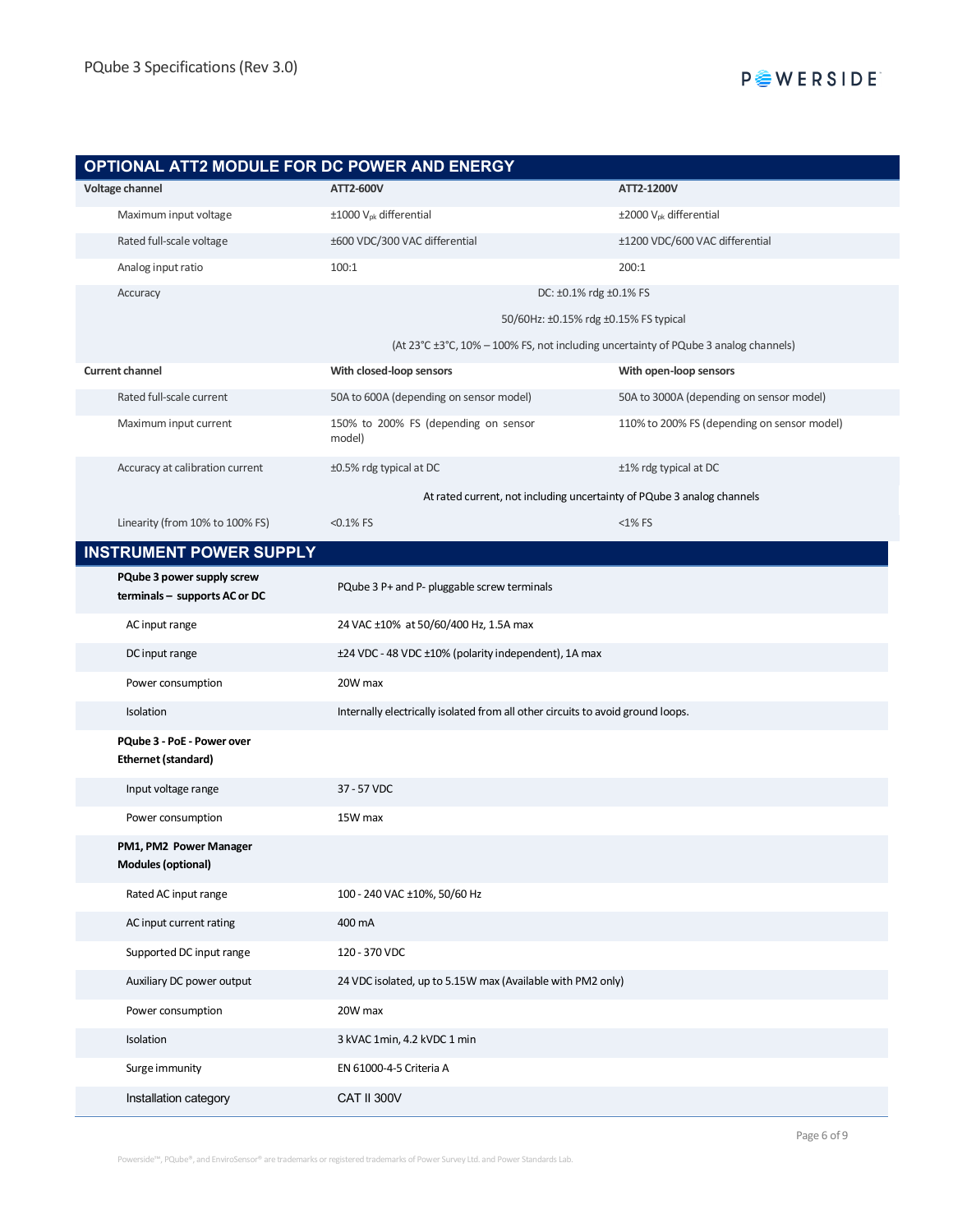

| OPTIONAL ATT2 MODULE FOR DC POWER AND ENERGY                |                                                                                 |                                                                                     |
|-------------------------------------------------------------|---------------------------------------------------------------------------------|-------------------------------------------------------------------------------------|
| Voltage channel                                             | ATT2-600V                                                                       | ATT2-1200V                                                                          |
| Maximum input voltage                                       | $\pm 1000$ V <sub>pk</sub> differential                                         | ±2000 V <sub>pk</sub> differential                                                  |
| Rated full-scale voltage                                    | ±600 VDC/300 VAC differential                                                   | ±1200 VDC/600 VAC differential                                                      |
| Analog input ratio                                          | 100:1                                                                           | 200:1                                                                               |
| Accuracy                                                    |                                                                                 | DC: ±0.1% rdg ±0.1% FS                                                              |
|                                                             | 50/60Hz: ±0.15% rdg ±0.15% FS typical                                           |                                                                                     |
|                                                             |                                                                                 | (At 23°C ±3°C, 10% - 100% FS, not including uncertainty of PQube 3 analog channels) |
| <b>Current channel</b>                                      | With closed-loop sensors                                                        | With open-loop sensors                                                              |
| Rated full-scale current                                    | 50A to 600A (depending on sensor model)                                         | 50A to 3000A (depending on sensor model)                                            |
| Maximum input current                                       | 150% to 200% FS (depending on sensor<br>model)                                  | 110% to 200% FS (depending on sensor model)                                         |
| Accuracy at calibration current                             | ±0.5% rdg typical at DC                                                         | ±1% rdg typical at DC                                                               |
|                                                             |                                                                                 | At rated current, not including uncertainty of PQube 3 analog channels              |
| Linearity (from 10% to 100% FS)                             | $< 0.1\%$ FS                                                                    | $<$ 1% FS                                                                           |
| <b>INSTRUMENT POWER SUPPLY</b>                              |                                                                                 |                                                                                     |
| PQube 3 power supply screw<br>terminals - supports AC or DC | PQube 3 P+ and P- pluggable screw terminals                                     |                                                                                     |
| AC input range                                              | 24 VAC ±10% at 50/60/400 Hz, 1.5A max                                           |                                                                                     |
| DC input range                                              | ±24 VDC - 48 VDC ±10% (polarity independent), 1A max                            |                                                                                     |
| Power consumption                                           | 20W max                                                                         |                                                                                     |
| Isolation                                                   | Internally electrically isolated from all other circuits to avoid ground loops. |                                                                                     |
| PQube 3 - PoE - Power over<br><b>Ethernet (standard)</b>    |                                                                                 |                                                                                     |
| Input voltage range                                         | 37 - 57 VDC                                                                     |                                                                                     |
| Power consumption                                           | 15W max                                                                         |                                                                                     |
| PM1, PM2 Power Manager<br><b>Modules (optional)</b>         |                                                                                 |                                                                                     |
| Rated AC input range                                        | 100 - 240 VAC ±10%, 50/60 Hz                                                    |                                                                                     |
| AC input current rating                                     | 400 mA                                                                          |                                                                                     |
| Supported DC input range                                    | 120 - 370 VDC                                                                   |                                                                                     |
| Auxiliary DC power output                                   | 24 VDC isolated, up to 5.15W max (Available with PM2 only)                      |                                                                                     |
| Power consumption                                           | 20W max                                                                         |                                                                                     |
| Isolation                                                   | 3 kVAC 1min, 4.2 kVDC 1 min                                                     |                                                                                     |
| Surge immunity                                              | EN 61000-4-5 Criteria A                                                         |                                                                                     |
| Installation category                                       | CAT II 300V                                                                     |                                                                                     |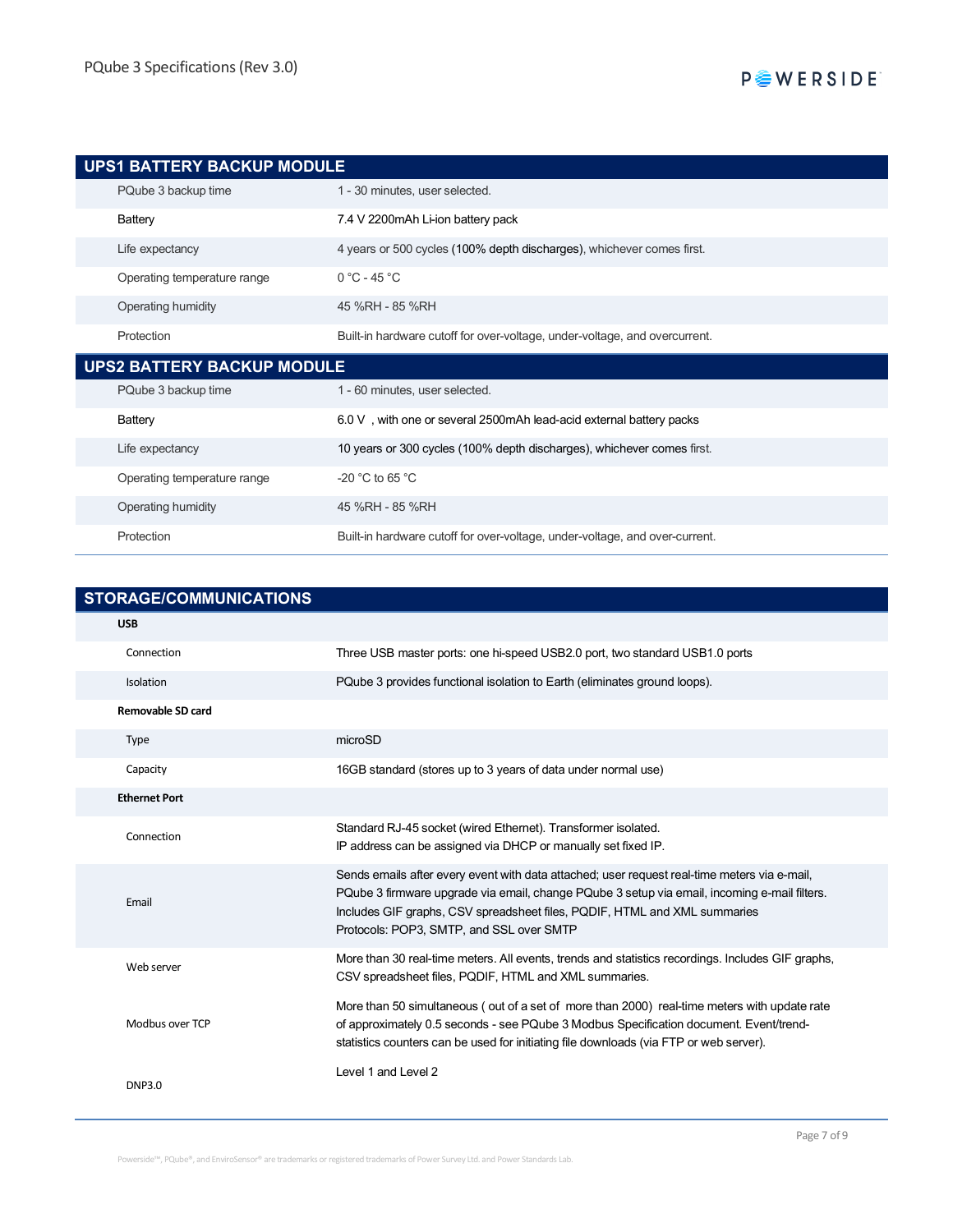| <b>UPS1 BATTERY BACKUP MODULE</b> |                                                                            |  |  |
|-----------------------------------|----------------------------------------------------------------------------|--|--|
| PQube 3 backup time               | 1 - 30 minutes, user selected.                                             |  |  |
| Battery                           | 7.4 V 2200mAh Li-ion battery pack                                          |  |  |
| Life expectancy                   | 4 years or 500 cycles (100% depth discharges), whichever comes first.      |  |  |
| Operating temperature range       | $0 °C - 45 °C$                                                             |  |  |
| Operating humidity                | 45 %RH - 85 %RH                                                            |  |  |
| Protection                        | Built-in hardware cutoff for over-voltage, under-voltage, and overcurrent. |  |  |
|                                   |                                                                            |  |  |
| <b>UPS2 BATTERY BACKUP MODULE</b> |                                                                            |  |  |
| PQube 3 backup time               | 1 - 60 minutes, user selected.                                             |  |  |
| Battery                           | 6.0 V, with one or several 2500mAh lead-acid external battery packs        |  |  |
| Life expectancy                   | 10 years or 300 cycles (100% depth discharges), whichever comes first.     |  |  |
| Operating temperature range       | -20 $^{\circ}$ C to 65 $^{\circ}$ C                                        |  |  |

Protection Built-in hardware cutoff for over-voltage, under-voltage, and over-current.

| <b>STORAGE/COMMUNICATIONS</b> |                                                                                                                                                                                                                                                                                                                       |  |
|-------------------------------|-----------------------------------------------------------------------------------------------------------------------------------------------------------------------------------------------------------------------------------------------------------------------------------------------------------------------|--|
| <b>USB</b>                    |                                                                                                                                                                                                                                                                                                                       |  |
| Connection                    | Three USB master ports: one hi-speed USB2.0 port, two standard USB1.0 ports                                                                                                                                                                                                                                           |  |
| Isolation                     | PQube 3 provides functional isolation to Earth (eliminates ground loops).                                                                                                                                                                                                                                             |  |
| <b>Removable SD card</b>      |                                                                                                                                                                                                                                                                                                                       |  |
| <b>Type</b>                   | microSD                                                                                                                                                                                                                                                                                                               |  |
| Capacity                      | 16GB standard (stores up to 3 years of data under normal use)                                                                                                                                                                                                                                                         |  |
| <b>Ethernet Port</b>          |                                                                                                                                                                                                                                                                                                                       |  |
| Connection                    | Standard RJ-45 socket (wired Ethernet). Transformer isolated.<br>IP address can be assigned via DHCP or manually set fixed IP.                                                                                                                                                                                        |  |
| Email                         | Sends emails after every event with data attached; user request real-time meters via e-mail,<br>PQube 3 firmware upgrade via email, change PQube 3 setup via email, incoming e-mail filters.<br>Includes GIF graphs, CSV spreadsheet files, PQDIF, HTML and XML summaries<br>Protocols: POP3, SMTP, and SSL over SMTP |  |
| Web server                    | More than 30 real-time meters. All events, trends and statistics recordings. Includes GIF graphs,<br>CSV spreadsheet files, PQDIF, HTML and XML summaries.                                                                                                                                                            |  |
| Modbus over TCP               | More than 50 simultaneous (out of a set of more than 2000) real-time meters with update rate<br>of approximately 0.5 seconds - see PQube 3 Modbus Specification document. Event/trend-<br>statistics counters can be used for initiating file downloads (via FTP or web server).                                      |  |
| <b>DNP3.0</b>                 | Level 1 and Level 2                                                                                                                                                                                                                                                                                                   |  |

Powerside™, PQube®, and EnviroSensor® are trademarks or registered trademarks of Power Survey Ltd. and Power Standards Lab.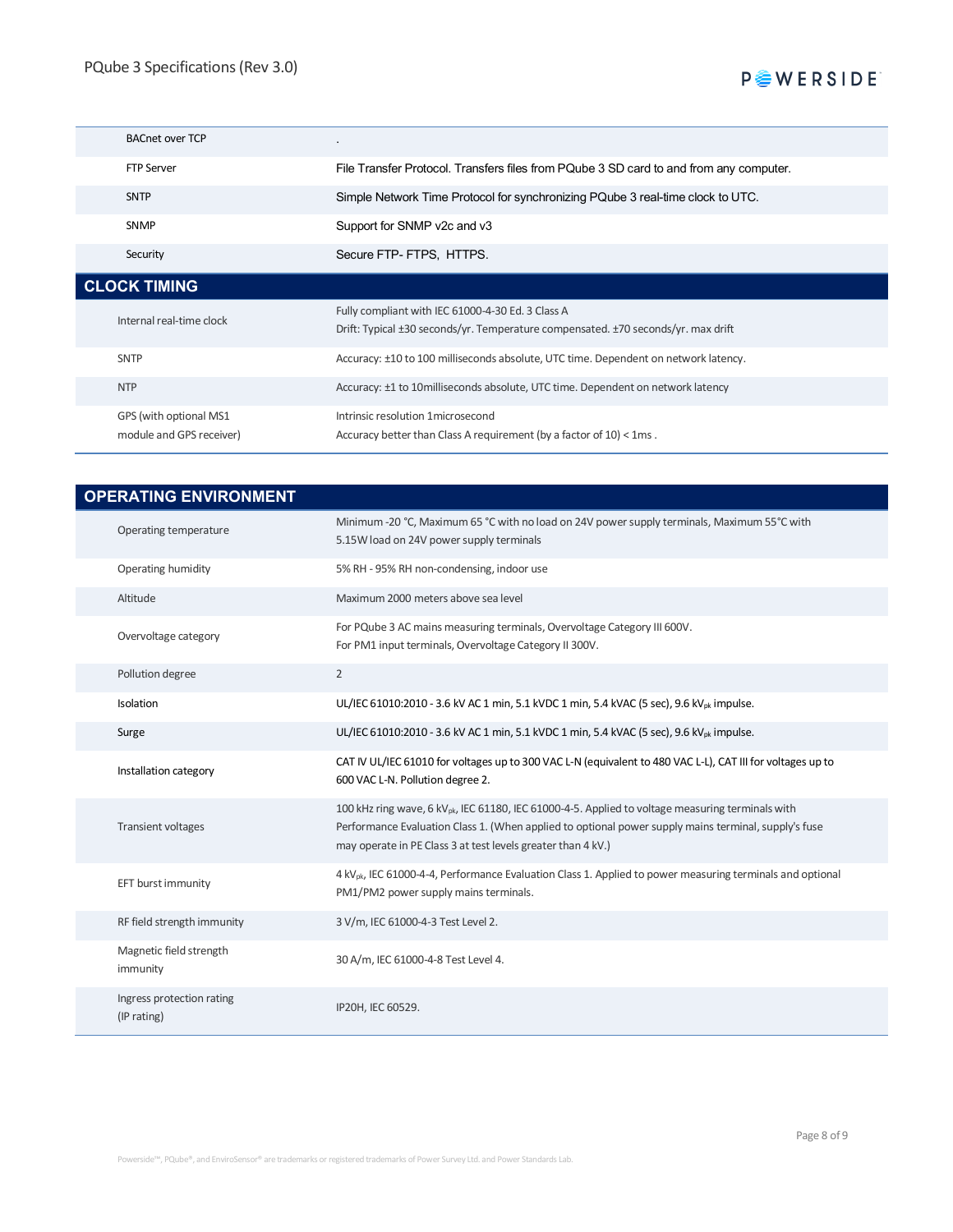# **P** VERSIDE

| <b>BACnet over TCP</b>                             | $\bullet$                                                                                                                              |
|----------------------------------------------------|----------------------------------------------------------------------------------------------------------------------------------------|
| <b>FTP Server</b>                                  | File Transfer Protocol. Transfers files from PQube 3 SD card to and from any computer.                                                 |
| <b>SNTP</b>                                        | Simple Network Time Protocol for synchronizing PQube 3 real-time clock to UTC.                                                         |
| <b>SNMP</b>                                        | Support for SNMP v2c and v3                                                                                                            |
| Security                                           | Secure FTP- FTPS, HTTPS.                                                                                                               |
| <b>CLOCK TIMING</b>                                |                                                                                                                                        |
| Internal real-time clock                           | Fully compliant with IEC 61000-4-30 Ed. 3 Class A<br>Drift: Typical ±30 seconds/yr. Temperature compensated. ±70 seconds/yr. max drift |
| <b>SNTP</b>                                        | Accuracy: ±10 to 100 milliseconds absolute, UTC time. Dependent on network latency.                                                    |
| <b>NTP</b>                                         | Accuracy: ±1 to 10 milliseconds absolute, UTC time. Dependent on network latency                                                       |
| GPS (with optional MS1<br>module and GPS receiver) | Intrinsic resolution 1 microsecond<br>Accuracy better than Class A requirement (by a factor of 10) < 1ms.                              |

| <b>OPERATING ENVIRONMENT</b>             |                                                                                                                                                                                                                                                                                       |  |
|------------------------------------------|---------------------------------------------------------------------------------------------------------------------------------------------------------------------------------------------------------------------------------------------------------------------------------------|--|
| Operating temperature                    | Minimum -20 °C, Maximum 65 °C with no load on 24V power supply terminals, Maximum 55°C with<br>5.15W load on 24V power supply terminals                                                                                                                                               |  |
| Operating humidity                       | 5% RH - 95% RH non-condensing, indoor use                                                                                                                                                                                                                                             |  |
| Altitude                                 | Maximum 2000 meters above sea level                                                                                                                                                                                                                                                   |  |
| Overvoltage category                     | For PQube 3 AC mains measuring terminals, Overvoltage Category III 600V.<br>For PM1 input terminals, Overvoltage Category II 300V.                                                                                                                                                    |  |
| Pollution degree                         | $\overline{2}$                                                                                                                                                                                                                                                                        |  |
| Isolation                                | UL/IEC 61010:2010 - 3.6 kV AC 1 min, 5.1 kVDC 1 min, 5.4 kVAC (5 sec), 9.6 kV <sub>pk</sub> impulse.                                                                                                                                                                                  |  |
| Surge                                    | UL/IEC 61010:2010 - 3.6 kV AC 1 min, 5.1 kVDC 1 min, 5.4 kVAC (5 sec), 9.6 kV <sub>pk</sub> impulse.                                                                                                                                                                                  |  |
| Installation category                    | CAT IV UL/IEC 61010 for voltages up to 300 VAC L-N (equivalent to 480 VAC L-L), CAT III for voltages up to<br>600 VAC L-N. Pollution degree 2.                                                                                                                                        |  |
| <b>Transient voltages</b>                | 100 kHz ring wave, 6 kV <sub>ok</sub> , IEC 61180, IEC 61000-4-5. Applied to voltage measuring terminals with<br>Performance Evaluation Class 1. (When applied to optional power supply mains terminal, supply's fuse<br>may operate in PE Class 3 at test levels greater than 4 kV.) |  |
| EFT burst immunity                       | 4 kV <sub>pk</sub> , IEC 61000-4-4, Performance Evaluation Class 1. Applied to power measuring terminals and optional<br>PM1/PM2 power supply mains terminals.                                                                                                                        |  |
| RF field strength immunity               | 3 V/m, IEC 61000-4-3 Test Level 2.                                                                                                                                                                                                                                                    |  |
| Magnetic field strength<br>immunity      | 30 A/m, IEC 61000-4-8 Test Level 4.                                                                                                                                                                                                                                                   |  |
| Ingress protection rating<br>(IP rating) | IP20H, IEC 60529.                                                                                                                                                                                                                                                                     |  |